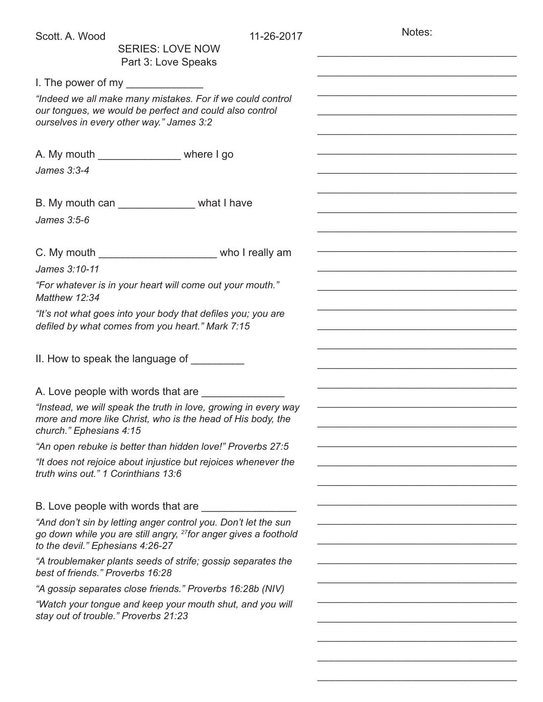| Scott. A. Wood                       | <b>SERIES: LOVE NOW</b>                                                                                                                                           | 11-26-2017 | Notes: |  |
|--------------------------------------|-------------------------------------------------------------------------------------------------------------------------------------------------------------------|------------|--------|--|
|                                      | Part 3: Love Speaks                                                                                                                                               |            |        |  |
|                                      | I. The power of my $\sqrt{2\pi}$                                                                                                                                  |            |        |  |
|                                      | "Indeed we all make many mistakes. For if we could control<br>our tongues, we would be perfect and could also control<br>ourselves in every other way." James 3:2 |            |        |  |
|                                      | A. My mouth ______________________ where I go                                                                                                                     |            |        |  |
| James 3:3-4                          |                                                                                                                                                                   |            |        |  |
|                                      | B. My mouth can _______________ what I have                                                                                                                       |            |        |  |
| James 3:5-6                          |                                                                                                                                                                   |            |        |  |
|                                      | C. My mouth ________________________________ who I really am                                                                                                      |            |        |  |
| James 3:10-11                        |                                                                                                                                                                   |            |        |  |
| Matthew 12:34                        | "For whatever is in your heart will come out your mouth."                                                                                                         |            |        |  |
|                                      | "It's not what goes into your body that defiles you; you are<br>defiled by what comes from you heart." Mark 7:15                                                  |            |        |  |
|                                      |                                                                                                                                                                   |            |        |  |
|                                      | A. Love people with words that are _________                                                                                                                      |            |        |  |
| church." Ephesians 4:15              | "Instead, we will speak the truth in love, growing in every way<br>more and more like Christ, who is the head of His body, the                                    |            |        |  |
|                                      | "An open rebuke is better than hidden love!" Proverbs 27:5                                                                                                        |            |        |  |
| truth wins out." 1 Corinthians 13:6  | "It does not rejoice about injustice but rejoices whenever the                                                                                                    |            |        |  |
|                                      | B. Love people with words that are                                                                                                                                |            |        |  |
| to the devil." Ephesians 4:26-27     | "And don't sin by letting anger control you. Don't let the sun<br>go down while you are still angry, <sup>27</sup> for anger gives a foothold                     |            |        |  |
| best of friends." Proverbs 16:28     | "A troublemaker plants seeds of strife; gossip separates the                                                                                                      |            |        |  |
|                                      | "A gossip separates close friends." Proverbs 16:28b (NIV)                                                                                                         |            |        |  |
| stay out of trouble." Proverbs 21:23 | "Watch your tongue and keep your mouth shut, and you will                                                                                                         |            |        |  |
|                                      |                                                                                                                                                                   |            |        |  |
|                                      |                                                                                                                                                                   |            |        |  |

\_\_\_\_\_\_\_\_\_\_\_\_\_\_\_\_\_\_\_\_\_\_\_\_\_\_\_\_\_\_\_\_\_\_\_\_